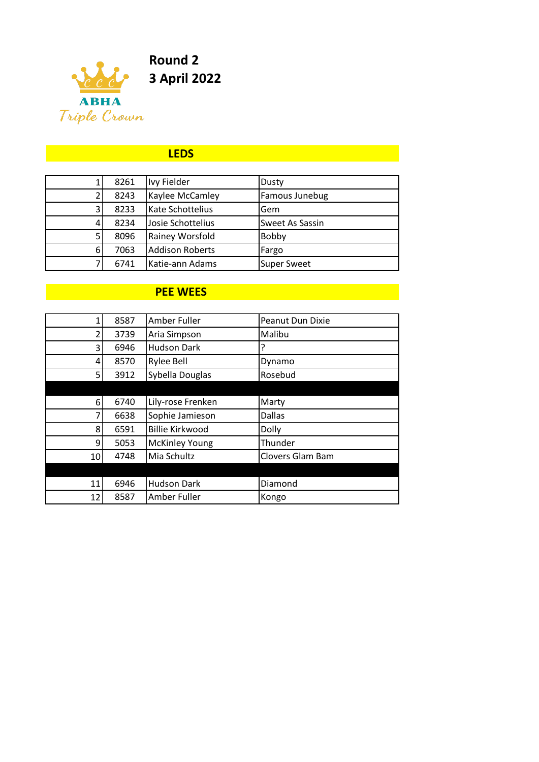

#### **LEDS**

|   | 8261 | Ivy Fielder            | Dusty                  |
|---|------|------------------------|------------------------|
|   | 8243 | Kaylee McCamley        | Famous Junebug         |
| 3 | 8233 | Kate Schottelius       | Gem                    |
|   | 8234 | Josie Schottelius      | <b>Sweet As Sassin</b> |
|   | 8096 | Rainey Worsfold        | Bobby                  |
| 6 | 7063 | <b>Addison Roberts</b> | Fargo                  |
|   | 6741 | Katie-ann Adams        | <b>Super Sweet</b>     |

# **PEE WEES**

|    | 8587 | Amber Fuller           | Peanut Dun Dixie |
|----|------|------------------------|------------------|
| 2  | 3739 | Aria Simpson           | Malibu           |
| 3  | 6946 | <b>Hudson Dark</b>     | 7                |
| 4  | 8570 | Rylee Bell             | Dynamo           |
| 5. | 3912 | Sybella Douglas        | Rosebud          |
|    |      |                        |                  |
| 6  | 6740 | Lily-rose Frenken      | Marty            |
| 7  | 6638 | Sophie Jamieson        | Dallas           |
| 8  | 6591 | <b>Billie Kirkwood</b> | Dolly            |
| 9  | 5053 | <b>McKinley Young</b>  | Thunder          |
| 10 | 4748 | Mia Schultz            | Clovers Glam Bam |
|    |      |                        |                  |
| 11 | 6946 | <b>Hudson Dark</b>     | Diamond          |
| 12 | 8587 | Amber Fuller           | Kongo            |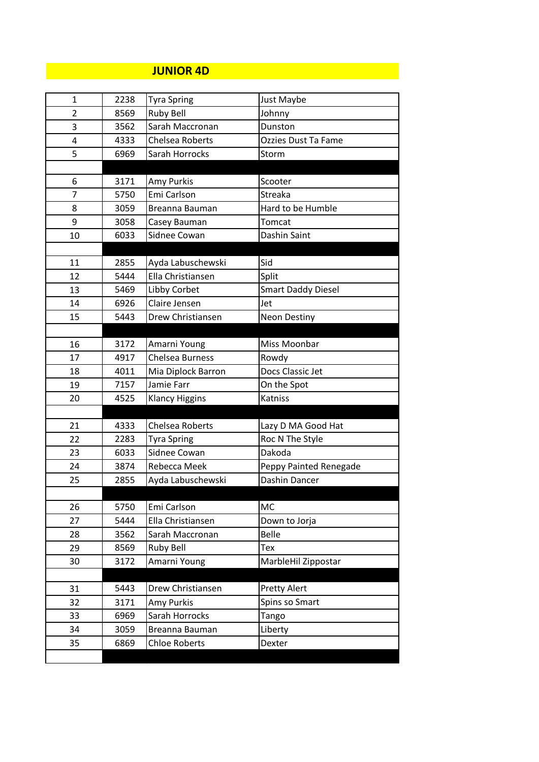# **JUNIOR 4D**

| 1              | 2238 | <b>Tyra Spring</b>     | Just Maybe                |
|----------------|------|------------------------|---------------------------|
| $\overline{2}$ | 8569 | <b>Ruby Bell</b>       | Johnny                    |
| 3              | 3562 | Sarah Maccronan        | Dunston                   |
| 4              | 4333 | Chelsea Roberts        | Ozzies Dust Ta Fame       |
| 5              | 6969 | Sarah Horrocks         | Storm                     |
|                |      |                        |                           |
| 6              | 3171 | Amy Purkis             | Scooter                   |
| 7              | 5750 | Emi Carlson            | Streaka                   |
| 8              | 3059 | Breanna Bauman         | Hard to be Humble         |
| 9              | 3058 | Casey Bauman           | Tomcat                    |
| 10             | 6033 | Sidnee Cowan           | Dashin Saint              |
|                |      |                        |                           |
| 11             | 2855 | Ayda Labuschewski      | Sid                       |
| 12             | 5444 | Ella Christiansen      | Split                     |
| 13             | 5469 | Libby Corbet           | <b>Smart Daddy Diesel</b> |
| 14             | 6926 | Claire Jensen          | Jet                       |
| 15             | 5443 | Drew Christiansen      | <b>Neon Destiny</b>       |
|                |      |                        |                           |
| 16             | 3172 | Amarni Young           | Miss Moonbar              |
| 17             | 4917 | Chelsea Burness        | Rowdy                     |
| 18             | 4011 | Mia Diplock Barron     | Docs Classic Jet          |
| 19             | 7157 | Jamie Farr             | On the Spot               |
| 20             | 4525 | <b>Klancy Higgins</b>  | Katniss                   |
|                |      |                        |                           |
| 21             | 4333 | <b>Chelsea Roberts</b> | Lazy D MA Good Hat        |
| 22             | 2283 | <b>Tyra Spring</b>     | Roc N The Style           |
| 23             | 6033 | Sidnee Cowan           | Dakoda                    |
| 24             | 3874 | Rebecca Meek           | Peppy Painted Renegade    |
| 25             | 2855 | Ayda Labuschewski      | Dashin Dancer             |
|                |      |                        |                           |
| 26             | 5750 | Emi Carlson            | MC                        |
| 27             | 5444 | Ella Christiansen      | Down to Jorja             |
| 28             | 3562 | Sarah Maccronan        | <b>Belle</b>              |
| 29             | 8569 | <b>Ruby Bell</b>       | Tex                       |
| 30             | 3172 | Amarni Young           | MarbleHil Zippostar       |
|                |      |                        |                           |
| 31             | 5443 | Drew Christiansen      | <b>Pretty Alert</b>       |
| 32             | 3171 | Amy Purkis             | Spins so Smart            |
| 33             | 6969 | Sarah Horrocks         | Tango                     |
| 34             | 3059 | Breanna Bauman         | Liberty                   |
| 35             | 6869 | <b>Chloe Roberts</b>   | Dexter                    |
|                |      |                        |                           |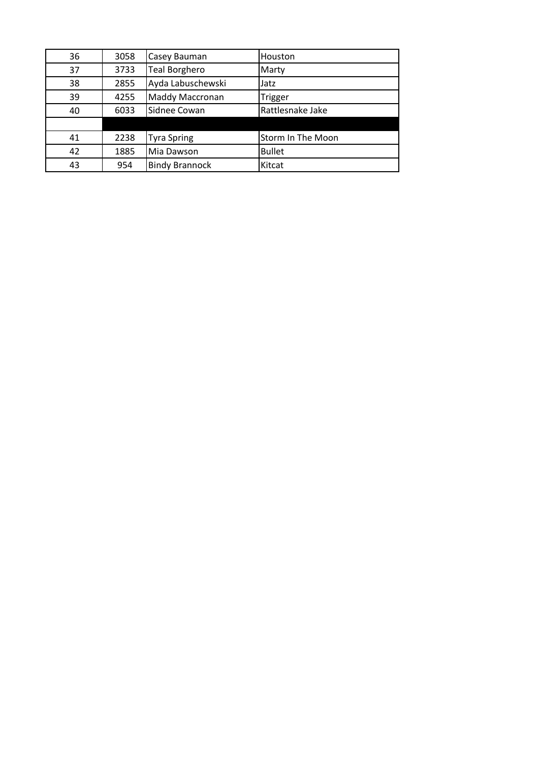| 36 | 3058 | Casey Bauman          | Houston                  |
|----|------|-----------------------|--------------------------|
| 37 | 3733 | <b>Teal Borghero</b>  | Marty                    |
| 38 | 2855 | Ayda Labuschewski     | Jatz                     |
| 39 | 4255 | Maddy Maccronan       | Trigger                  |
| 40 | 6033 | Sidnee Cowan          | Rattlesnake Jake         |
|    |      |                       |                          |
| 41 | 2238 | <b>Tyra Spring</b>    | <b>Storm In The Moon</b> |
| 42 | 1885 | Mia Dawson            | <b>Bullet</b>            |
| 43 | 954  | <b>Bindy Brannock</b> | Kitcat                   |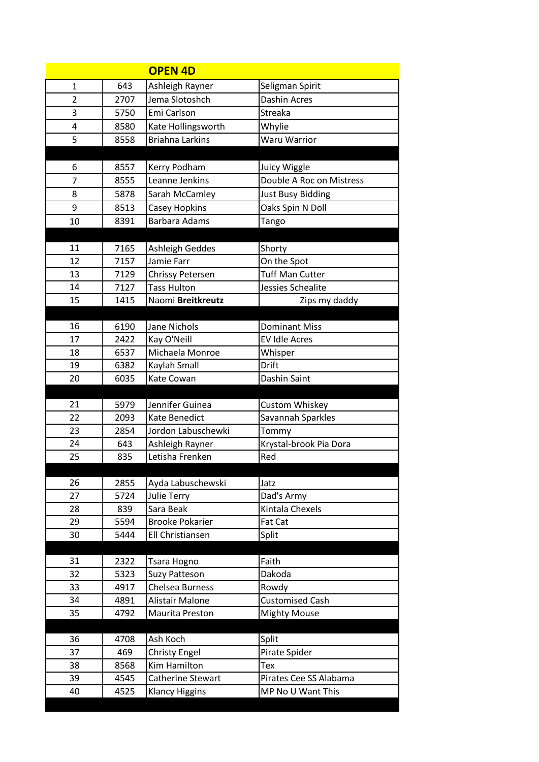|                |      | <b>OPEN 4D</b>          |                               |
|----------------|------|-------------------------|-------------------------------|
| 1              | 643  | Ashleigh Rayner         | Seligman Spirit               |
| $\overline{2}$ | 2707 | Jema Slotoshch          | <b>Dashin Acres</b>           |
| 3              | 5750 | Emi Carlson             | Streaka                       |
| 4              | 8580 | Kate Hollingsworth      | Whylie                        |
| 5              | 8558 | <b>Briahna Larkins</b>  | Waru Warrior                  |
|                |      |                         |                               |
| 6              | 8557 | Kerry Podham            | Juicy Wiggle                  |
| 7              | 8555 | Leanne Jenkins          | Double A Roc on Mistress      |
| 8              | 5878 | Sarah McCamley          | <b>Just Busy Bidding</b>      |
| 9              | 8513 | Casey Hopkins           | Oaks Spin N Doll              |
| 10             | 8391 | <b>Barbara Adams</b>    | Tango                         |
|                |      |                         |                               |
| 11             | 7165 | Ashleigh Geddes         | Shorty                        |
| 12             | 7157 | Jamie Farr              | On the Spot                   |
| 13             | 7129 | <b>Chrissy Petersen</b> | <b>Tuff Man Cutter</b>        |
| 14             | 7127 | <b>Tass Hulton</b>      | Jessies Schealite             |
| 15             | 1415 | Naomi Breitkreutz       | Zips my daddy                 |
|                |      |                         |                               |
| 16             | 6190 | <b>Jane Nichols</b>     | <b>Dominant Miss</b>          |
| 17             | 2422 | Kay O'Neill             | <b>EV Idle Acres</b>          |
| 18             | 6537 | Michaela Monroe         | Whisper                       |
| 19             | 6382 | Kaylah Small            | Drift                         |
| 20             | 6035 | Kate Cowan              | Dashin Saint                  |
|                |      |                         |                               |
| 21             | 5979 | Jennifer Guinea         | Custom Whiskey                |
| 22             | 2093 | Kate Benedict           | Savannah Sparkles             |
| 23             | 2854 | Jordon Labuschewki      | Tommy                         |
| 24<br>25       | 643  | Ashleigh Rayner         | Krystal-brook Pia Dora<br>Red |
|                | 835  | Letisha Frenken         |                               |
| 26             | 2855 | Ayda Labuschewski       | Jatz                          |
| 27             | 5724 | <b>Julie Terry</b>      | Dad's Army                    |
| 28             | 839  | Sara Beak               | Kintala Chexels               |
| 29             | 5594 | <b>Brooke Pokarier</b>  | Fat Cat                       |
| 30             | 5444 | Ell Christiansen        | Split                         |
|                |      |                         |                               |
| 31             | 2322 | Tsara Hogno             | Faith                         |
| 32             | 5323 | <b>Suzy Patteson</b>    | Dakoda                        |
| 33             | 4917 | Chelsea Burness         | Rowdy                         |
| 34             | 4891 | Alistair Malone         | <b>Customised Cash</b>        |
| 35             | 4792 | Maurita Preston         | <b>Mighty Mouse</b>           |
|                |      |                         |                               |
| 36             | 4708 | Ash Koch                | Split                         |
| 37             | 469  | <b>Christy Engel</b>    | Pirate Spider                 |
| 38             | 8568 | Kim Hamilton            | Tex                           |
| 39             | 4545 | Catherine Stewart       | Pirates Cee SS Alabama        |
| 40             | 4525 | <b>Klancy Higgins</b>   | MP No U Want This             |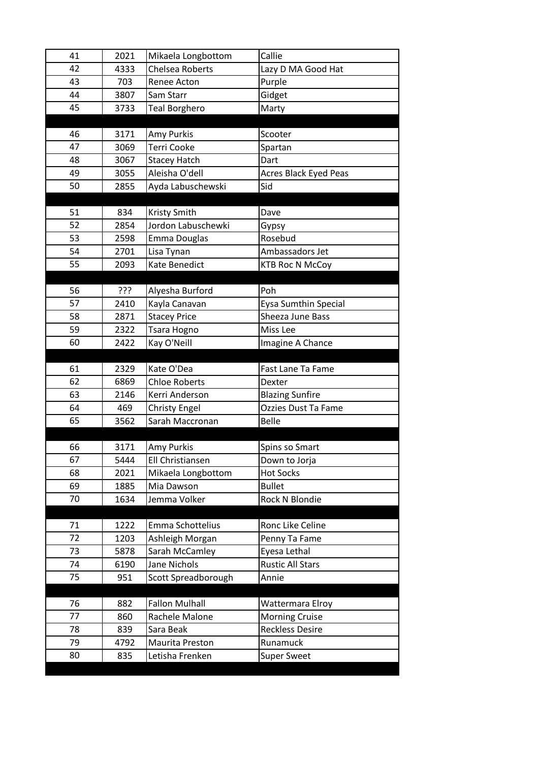| 41       | 2021        | Mikaela Longbottom                 | Callie                         |
|----------|-------------|------------------------------------|--------------------------------|
| 42       | 4333        | <b>Chelsea Roberts</b>             | Lazy D MA Good Hat             |
| 43       | 703         | Renee Acton                        | Purple                         |
| 44       | 3807        | Sam Starr                          | Gidget                         |
| 45       | 3733        | <b>Teal Borghero</b>               | Marty                          |
|          |             |                                    |                                |
| 46       | 3171        | Amy Purkis                         | Scooter                        |
| 47       | 3069        | <b>Terri Cooke</b>                 | Spartan                        |
| 48       | 3067        | <b>Stacey Hatch</b>                | Dart                           |
| 49       | 3055        | Aleisha O'dell                     | <b>Acres Black Eyed Peas</b>   |
| 50       | 2855        | Ayda Labuschewski                  | Sid                            |
|          |             |                                    |                                |
| 51       | 834         | Kristy Smith                       | Dave                           |
| 52       | 2854        | Jordon Labuschewki                 | Gypsy                          |
| 53       | 2598        | Emma Douglas                       | Rosebud                        |
| 54       | 2701        | Lisa Tynan                         | Ambassadors Jet                |
| 55       | 2093        | Kate Benedict                      | <b>KTB Roc N McCoy</b>         |
|          |             |                                    |                                |
| 56       | ???         | Alyesha Burford                    | Poh                            |
| 57       | 2410        | Kayla Canavan                      | Eysa Sumthin Special           |
| 58       | 2871        | <b>Stacey Price</b>                | Sheeza June Bass               |
| 59       | 2322        | Tsara Hogno                        | Miss Lee                       |
| 60       | 2422        | Kay O'Neill                        | Imagine A Chance               |
|          |             |                                    |                                |
|          |             |                                    |                                |
| 61       | 2329        | Kate O'Dea                         | Fast Lane Ta Fame              |
| 62       | 6869        | <b>Chloe Roberts</b>               | Dexter                         |
| 63       | 2146        | Kerri Anderson                     | <b>Blazing Sunfire</b>         |
| 64       | 469         | Christy Engel                      | <b>Ozzies Dust Ta Fame</b>     |
| 65       | 3562        | Sarah Maccronan                    | <b>Belle</b>                   |
|          |             |                                    |                                |
| 66       | 3171        | Amy Purkis                         | Spins so Smart                 |
| 67       | 5444        | Ell Christiansen                   | Down to Jorja                  |
| 68       | 2021        | Mikaela Longbottom                 | <b>Hot Socks</b>               |
| 69       | 1885        | Mia Dawson                         | <b>Bullet</b>                  |
| 70       | 1634        | Jemma Volker                       | Rock N Blondie                 |
|          |             |                                    |                                |
| 71       | 1222        | Emma Schottelius                   | Ronc Like Celine               |
| 72       | 1203        | Ashleigh Morgan                    | Penny Ta Fame                  |
| 73       | 5878        | Sarah McCamley                     | Eyesa Lethal                   |
| 74       | 6190        | Jane Nichols                       | <b>Rustic All Stars</b>        |
| 75       | 951         | Scott Spreadborough                | Annie                          |
|          |             |                                    |                                |
| 76       | 882         | <b>Fallon Mulhall</b>              | Wattermara Elroy               |
| 77       | 860         | Rachele Malone                     | <b>Morning Cruise</b>          |
| 78       | 839         | Sara Beak                          | <b>Reckless Desire</b>         |
| 79<br>80 | 4792<br>835 | Maurita Preston<br>Letisha Frenken | Runamuck<br><b>Super Sweet</b> |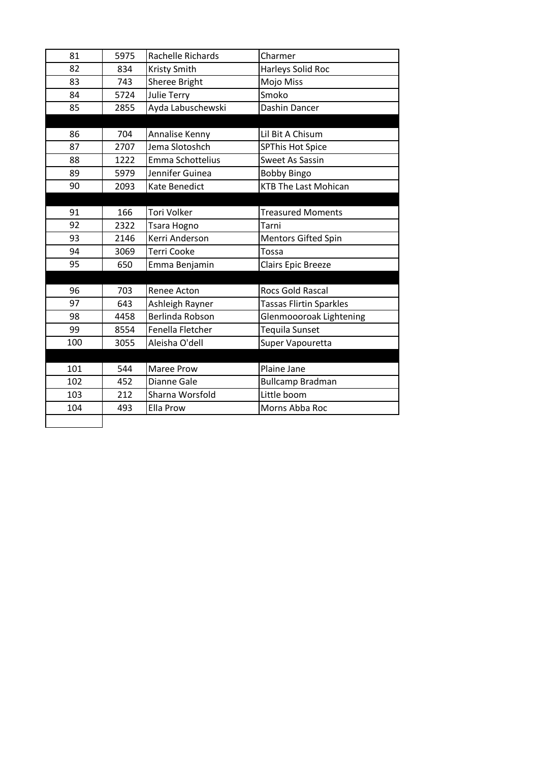| 81  | 5975 | Rachelle Richards       | Charmer                        |
|-----|------|-------------------------|--------------------------------|
| 82  | 834  | Kristy Smith            | Harleys Solid Roc              |
| 83  | 743  | Sheree Bright           | Mojo Miss                      |
| 84  | 5724 | <b>Julie Terry</b>      | Smoko                          |
| 85  | 2855 | Ayda Labuschewski       | Dashin Dancer                  |
|     |      |                         |                                |
| 86  | 704  | Annalise Kenny          | Lil Bit A Chisum               |
| 87  | 2707 | Jema Slotoshch          | <b>SPThis Hot Spice</b>        |
| 88  | 1222 | <b>Emma Schottelius</b> | Sweet As Sassin                |
| 89  | 5979 | Jennifer Guinea         | <b>Bobby Bingo</b>             |
| 90  | 2093 | Kate Benedict           | <b>KTB The Last Mohican</b>    |
|     |      |                         |                                |
| 91  | 166  | Tori Volker             | <b>Treasured Moments</b>       |
| 92  | 2322 | Tsara Hogno             | Tarni                          |
| 93  | 2146 | Kerri Anderson          | <b>Mentors Gifted Spin</b>     |
| 94  | 3069 | <b>Terri Cooke</b>      | Tossa                          |
| 95  | 650  | Emma Benjamin           | Clairs Epic Breeze             |
|     |      |                         |                                |
| 96  | 703  | Renee Acton             | <b>Rocs Gold Rascal</b>        |
| 97  | 643  | Ashleigh Rayner         | <b>Tassas Flirtin Sparkles</b> |
| 98  | 4458 | Berlinda Robson         | Glenmoooroak Lightening        |
| 99  | 8554 | Fenella Fletcher        | Tequila Sunset                 |
| 100 | 3055 | Aleisha O'dell          | Super Vapouretta               |
|     |      |                         |                                |
| 101 | 544  | Maree Prow              | Plaine Jane                    |
| 102 | 452  | Dianne Gale             | <b>Bullcamp Bradman</b>        |
| 103 | 212  | Sharna Worsfold         | Little boom                    |
| 104 | 493  | <b>Ella Prow</b>        | Morns Abba Roc                 |
|     |      |                         |                                |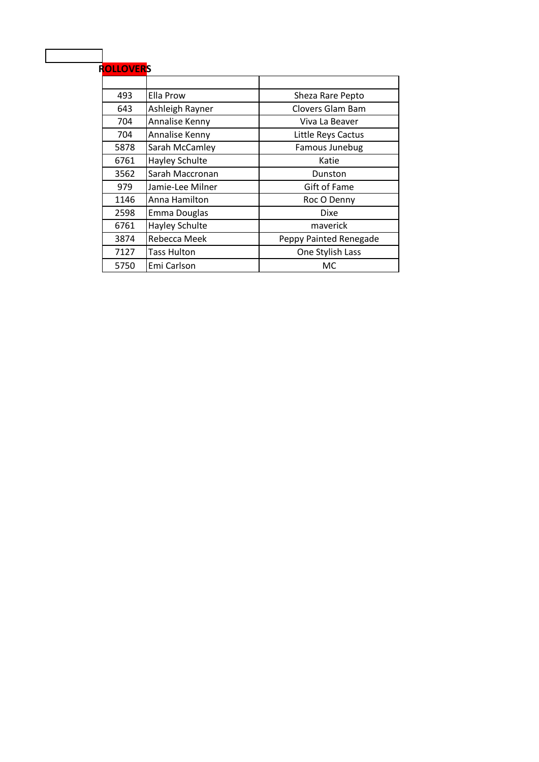# **ROLLOVERS**

| 493  | Ella Prow          | Sheza Rare Pepto       |
|------|--------------------|------------------------|
| 643  | Ashleigh Rayner    | Clovers Glam Bam       |
| 704  | Annalise Kenny     | Viva La Beaver         |
| 704  | Annalise Kenny     | Little Reys Cactus     |
| 5878 | Sarah McCamley     | Famous Junebug         |
| 6761 | Hayley Schulte     | Katie                  |
| 3562 | Sarah Maccronan    | Dunston                |
| 979  | Jamie-Lee Milner   | <b>Gift of Fame</b>    |
| 1146 | Anna Hamilton      | Roc O Denny            |
| 2598 | Emma Douglas       | Dixe                   |
| 6761 | Hayley Schulte     | maverick               |
| 3874 | Rebecca Meek       | Peppy Painted Renegade |
| 7127 | <b>Tass Hulton</b> | One Stylish Lass       |
| 5750 | Emi Carlson        | МC                     |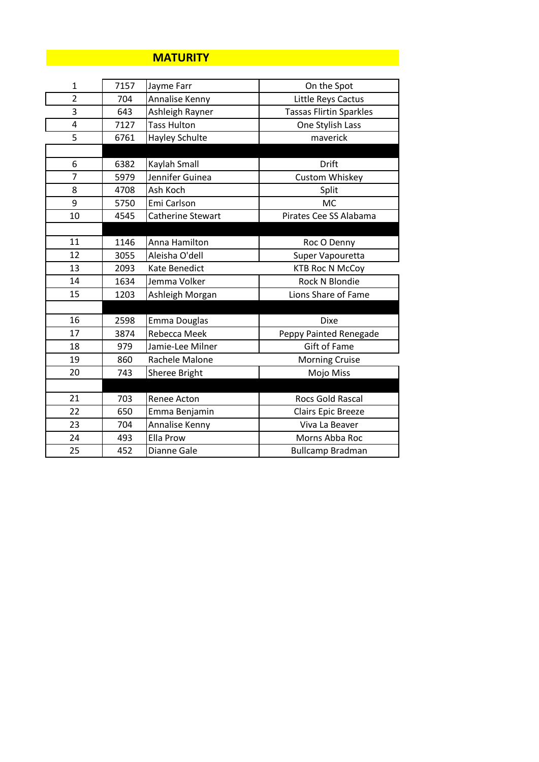#### **MATURITY**

| $\mathbf{1}$   | 7157 | Jayme Farr            | On the Spot                    |
|----------------|------|-----------------------|--------------------------------|
| $\overline{2}$ | 704  | Annalise Kenny        | Little Reys Cactus             |
| 3              | 643  | Ashleigh Rayner       | <b>Tassas Flirtin Sparkles</b> |
| 4              | 7127 | <b>Tass Hulton</b>    | One Stylish Lass               |
| 5              | 6761 | <b>Hayley Schulte</b> | maverick                       |
|                |      |                       |                                |
| 6              | 6382 | Kaylah Small          | Drift                          |
| $\overline{7}$ | 5979 | Jennifer Guinea       | <b>Custom Whiskey</b>          |
| 8              | 4708 | Ash Koch              | Split                          |
| 9              | 5750 | Emi Carlson           | <b>MC</b>                      |
| 10             | 4545 | Catherine Stewart     | Pirates Cee SS Alabama         |
|                |      |                       |                                |
| 11             | 1146 | Anna Hamilton         | Roc O Denny                    |
| 12             | 3055 | Aleisha O'dell        | Super Vapouretta               |
| 13             | 2093 | Kate Benedict         | <b>KTB Roc N McCoy</b>         |
| 14             | 1634 | Jemma Volker          | Rock N Blondie                 |
| 15             | 1203 | Ashleigh Morgan       | Lions Share of Fame            |
|                |      |                       |                                |
| 16             | 2598 | Emma Douglas          | <b>Dixe</b>                    |
| 17             | 3874 | Rebecca Meek          | Peppy Painted Renegade         |
| 18             | 979  | Jamie-Lee Milner      | <b>Gift of Fame</b>            |
| 19             | 860  | Rachele Malone        | <b>Morning Cruise</b>          |
| 20             | 743  | Sheree Bright         | Mojo Miss                      |
|                |      |                       |                                |
| 21             | 703  | Renee Acton           | <b>Rocs Gold Rascal</b>        |
| 22             | 650  | Emma Benjamin         | <b>Clairs Epic Breeze</b>      |
| 23             | 704  | Annalise Kenny        | Viva La Beaver                 |
| 24             | 493  | Ella Prow             | Morns Abba Roc                 |
| 25             | 452  | Dianne Gale           | <b>Bullcamp Bradman</b>        |